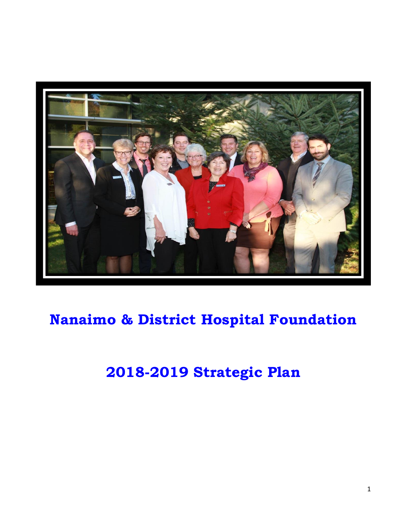

# **Nanaimo & District Hospital Foundation**

## **2018-2019 Strategic Plan**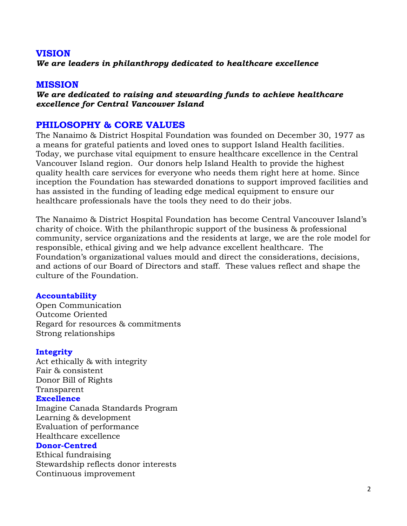## **VISION**

*We are leaders in philanthropy dedicated to healthcare excellence*

### **MISSION**

*We are dedicated to raising and stewarding funds to achieve healthcare excellence for Central Vancouver Island*

### **PHILOSOPHY & CORE VALUES**

The Nanaimo & District Hospital Foundation was founded on December 30, 1977 as a means for grateful patients and loved ones to support Island Health facilities. Today, we purchase vital equipment to ensure healthcare excellence in the Central Vancouver Island region. Our donors help Island Health to provide the highest quality health care services for everyone who needs them right here at home. Since inception the Foundation has stewarded donations to support improved facilities and has assisted in the funding of leading edge medical equipment to ensure our healthcare professionals have the tools they need to do their jobs.

The Nanaimo & District Hospital Foundation has become Central Vancouver Island's charity of choice. With the philanthropic support of the business & professional community, service organizations and the residents at large, we are the role model for responsible, ethical giving and we help advance excellent healthcare. The Foundation's organizational values mould and direct the considerations, decisions, and actions of our Board of Directors and staff. These values reflect and shape the culture of the Foundation.

#### **Accountability**

Open Communication Outcome Oriented Regard for resources & commitments Strong relationships

#### **Integrity**

Act ethically & with integrity Fair & consistent Donor Bill of Rights Transparent **Excellence** Imagine Canada Standards Program

Learning & development Evaluation of performance Healthcare excellence

#### **Donor-Centred**

Ethical fundraising Stewardship reflects donor interests Continuous improvement